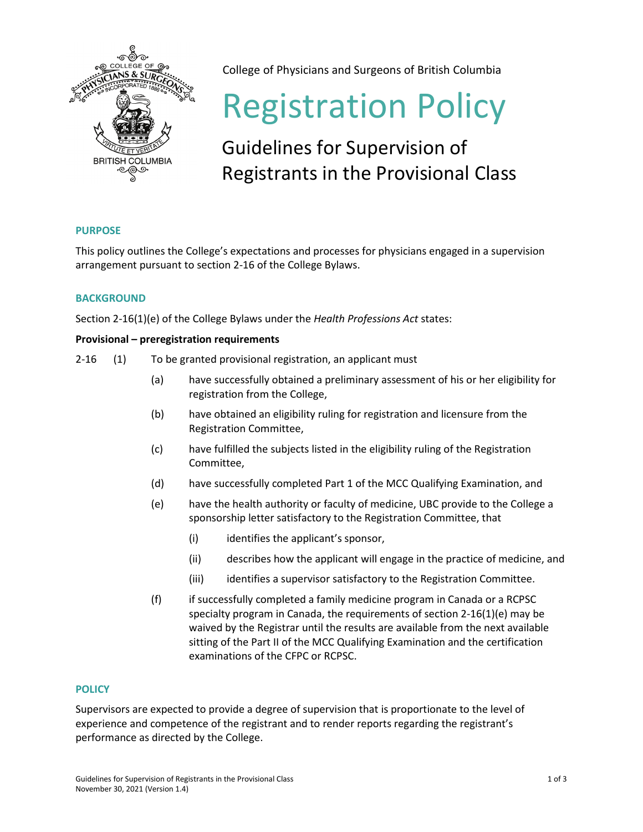

College of Physicians and Surgeons of British Columbia

# Registration Policy

# Guidelines for Supervision of Registrants in the Provisional Class

# **PURPOSE**

This policy outlines the College's expectations and processes for physicians engaged in a supervision arrangement pursuant to section 2-16 of the College Bylaws.

## **BACKGROUND**

Section 2-16(1)(e) of the College Bylaws under the *Health Professions Act* states:

### **Provisional – preregistration requirements**

- 2-16 (1) To be granted provisional registration, an applicant must
	- (a) have successfully obtained a preliminary assessment of his or her eligibility for registration from the College,
	- (b) have obtained an eligibility ruling for registration and licensure from the Registration Committee,
	- (c) have fulfilled the subjects listed in the eligibility ruling of the Registration Committee,
	- (d) have successfully completed Part 1 of the MCC Qualifying Examination, and
	- (e) have the health authority or faculty of medicine, UBC provide to the College a sponsorship letter satisfactory to the Registration Committee, that
		- (i) identifies the applicant's sponsor,
		- (ii) describes how the applicant will engage in the practice of medicine, and
		- (iii) identifies a supervisor satisfactory to the Registration Committee.
	- (f) if successfully completed a family medicine program in Canada or a RCPSC specialty program in Canada, the requirements of section 2-16(1)(e) may be waived by the Registrar until the results are available from the next available sitting of the Part II of the MCC Qualifying Examination and the certification examinations of the CFPC or RCPSC.

### **POLICY**

Supervisors are expected to provide a degree of supervision that is proportionate to the level of experience and competence of the registrant and to render reports regarding the registrant's performance as directed by the College.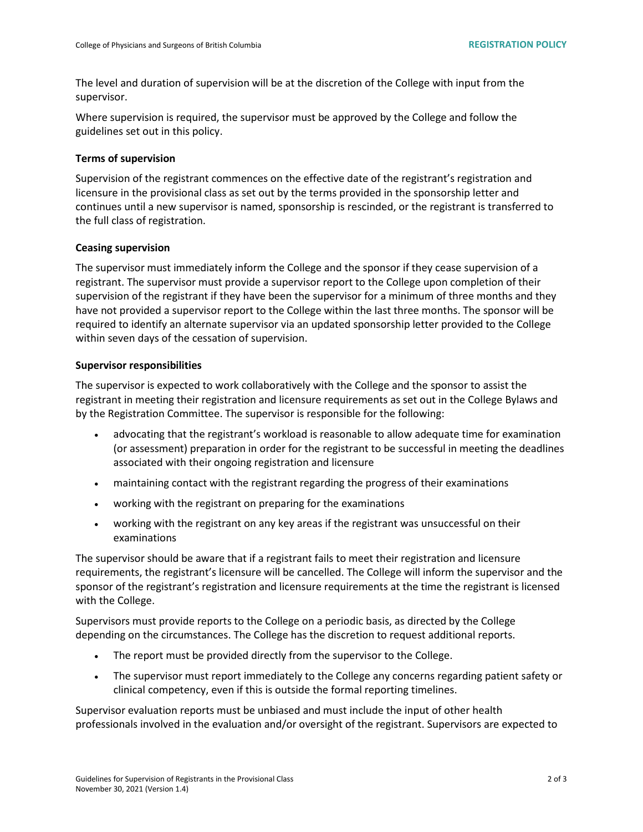The level and duration of supervision will be at the discretion of the College with input from the supervisor.

Where supervision is required, the supervisor must be approved by the College and follow the guidelines set out in this policy.

#### **Terms of supervision**

Supervision of the registrant commences on the effective date of the registrant's registration and licensure in the provisional class as set out by the terms provided in the sponsorship letter and continues until a new supervisor is named, sponsorship is rescinded, or the registrant is transferred to the full class of registration.

#### **Ceasing supervision**

The supervisor must immediately inform the College and the sponsor if they cease supervision of a registrant. The supervisor must provide a supervisor report to the College upon completion of their supervision of the registrant if they have been the supervisor for a minimum of three months and they have not provided a supervisor report to the College within the last three months. The sponsor will be required to identify an alternate supervisor via an updated sponsorship letter provided to the College within seven days of the cessation of supervision.

#### **Supervisor responsibilities**

The supervisor is expected to work collaboratively with the College and the sponsor to assist the registrant in meeting their registration and licensure requirements as set out in the College Bylaws and by the Registration Committee. The supervisor is responsible for the following:

- advocating that the registrant's workload is reasonable to allow adequate time for examination (or assessment) preparation in order for the registrant to be successful in meeting the deadlines associated with their ongoing registration and licensure
- maintaining contact with the registrant regarding the progress of their examinations
- working with the registrant on preparing for the examinations
- working with the registrant on any key areas if the registrant was unsuccessful on their examinations

The supervisor should be aware that if a registrant fails to meet their registration and licensure requirements, the registrant's licensure will be cancelled. The College will inform the supervisor and the sponsor of the registrant's registration and licensure requirements at the time the registrant is licensed with the College.

Supervisors must provide reports to the College on a periodic basis, as directed by the College depending on the circumstances. The College has the discretion to request additional reports.

- The report must be provided directly from the supervisor to the College.
- The supervisor must report immediately to the College any concerns regarding patient safety or clinical competency, even if this is outside the formal reporting timelines.

Supervisor evaluation reports must be unbiased and must include the input of other health professionals involved in the evaluation and/or oversight of the registrant. Supervisors are expected to